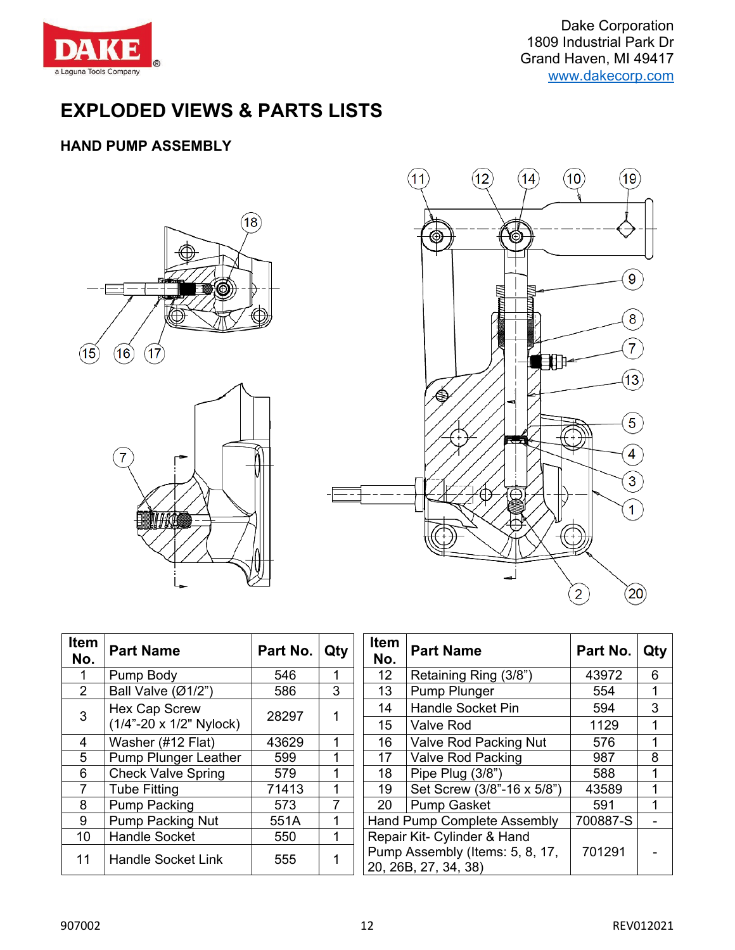

Dake Corporation 1809 Industrial Park Dr Grand Haven, MI 49417 [www.dakecorp.com](http://www.dakecorp.com/)

# **EXPLODED VIEWS & PARTS LISTS**

#### **HAND PUMP ASSEMBLY**





| Item<br>No.    | <b>Part Name</b>                 | Part No. | Qty | Item<br>No. | <b>Part Name</b>                                   |
|----------------|----------------------------------|----------|-----|-------------|----------------------------------------------------|
| 1              | Pump Body                        | 546      | 1   | 12          | Retaining Ring (3/8")                              |
| $\overline{2}$ | Ball Valve $(\emptyset 1/2")$    | 586      | 3   | 13          | Pump Plunger                                       |
| 3              | <b>Hex Cap Screw</b>             |          |     | 14          | <b>Handle Socket Pin</b>                           |
|                | $(1/4" - 20 \times 1/2"$ Nylock) | 28297    |     | 15          | <b>Valve Rod</b>                                   |
| 4              | Washer (#12 Flat)                | 43629    | 1   | 16          | Valve Rod Packing N                                |
| 5              | <b>Pump Plunger Leather</b>      | 599      | 1   | 17          | <b>Valve Rod Packing</b>                           |
| 6              | <b>Check Valve Spring</b>        | 579      | 1   | 18          | Pipe Plug (3/8")                                   |
| 7              | <b>Tube Fitting</b>              | 71413    | 1   | 19          | Set Screw (3/8"-16 x                               |
| 8              | <b>Pump Packing</b>              | 573      | 7   | 20          | <b>Pump Gasket</b>                                 |
| 9              | <b>Pump Packing Nut</b>          | 551A     | 1   |             | <b>Hand Pump Complete Asser</b>                    |
| 10             | <b>Handle Socket</b>             | 550      |     |             | Repair Kit- Cylinder & Hand                        |
| 11             | <b>Handle Socket Link</b>        | 555      |     |             | Pump Assembly (Items: 5, 8<br>20. 26B, 27, 34, 38) |

| :em<br>٧o.      | <b>Part Name</b>            | Part No. | Qty | <b>Item</b><br>No. | <b>Part Name</b>                                        | Part No. | Qty |
|-----------------|-----------------------------|----------|-----|--------------------|---------------------------------------------------------|----------|-----|
| $\mathbf{1}$    | Pump Body                   | 546      |     | 12                 | Retaining Ring (3/8")                                   | 43972    | 6   |
| $2^{\circ}$     | Ball Valve (Ø1/2")          | 586      | 3   | 13                 | Pump Plunger                                            | 554      |     |
| 3               | <b>Hex Cap Screw</b>        | 28297    |     | 14                 | <b>Handle Socket Pin</b>                                | 594      | 3   |
|                 | (1/4"-20 x 1/2" Nylock)     |          |     | 15                 | <b>Valve Rod</b>                                        | 1129     |     |
| $\overline{4}$  | Washer (#12 Flat)           | 43629    |     | 16                 | <b>Valve Rod Packing Nut</b>                            |          |     |
| $5\phantom{.0}$ | <b>Pump Plunger Leather</b> | 599      |     | 17                 | <b>Valve Rod Packing</b>                                |          | 8   |
| $6\phantom{.}6$ | <b>Check Valve Spring</b>   | 579      |     | 18                 | Pipe Plug (3/8")                                        |          |     |
| $\overline{7}$  | <b>Tube Fitting</b>         | 71413    |     | 19                 | Set Screw (3/8"-16 x 5/8")                              |          |     |
| 8               | <b>Pump Packing</b>         | 573      | 7   | 20                 | <b>Pump Gasket</b>                                      |          |     |
| 9               | <b>Pump Packing Nut</b>     | 551A     |     |                    | <b>Hand Pump Complete Assembly</b>                      |          |     |
| 10              | <b>Handle Socket</b>        | 550      |     |                    | Repair Kit- Cylinder & Hand                             |          |     |
| 11              | <b>Handle Socket Link</b>   | 555      |     |                    | Pump Assembly (Items: 5, 8, 17,<br>20, 26B, 27, 34, 38) | 701291   |     |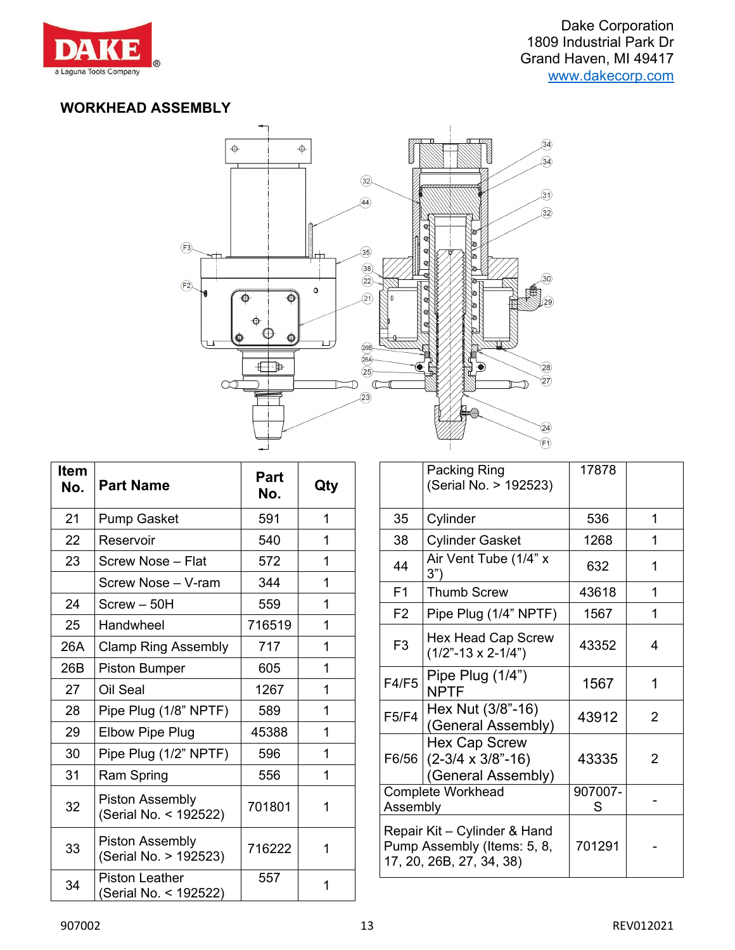

#### **WORKHEAD ASSEMBLY**



| <b>Item</b><br>No. | <b>Part Name</b>                                | Part<br>No. | Qty |
|--------------------|-------------------------------------------------|-------------|-----|
| 21                 | <b>Pump Gasket</b>                              | 591         | 1   |
| 22                 | Reservoir                                       | 540         | 1   |
| 23                 | Screw Nose - Flat                               | 572         | 1   |
|                    | Screw Nose - V-ram                              | 344         | 1   |
| 24                 | Screw - 50H                                     | 559         | 1   |
| 25                 | Handwheel                                       | 716519      | 1   |
| 26A                | <b>Clamp Ring Assembly</b>                      | 717         | 1   |
| 26B                | <b>Piston Bumper</b>                            | 605         | 1   |
| 27                 | Oil Seal                                        | 1267        | 1   |
| 28                 | Pipe Plug (1/8" NPTF)                           | 589         | 1   |
| 29                 | <b>Elbow Pipe Plug</b>                          | 45388       | 1   |
| 30                 | Pipe Plug (1/2" NPTF)                           | 596         | 1   |
| 31                 | Ram Spring                                      | 556         | 1   |
| 32                 | <b>Piston Assembly</b><br>(Serial No. < 192522) | 701801      | 1   |
| 33                 | <b>Piston Assembly</b><br>(Serial No. > 192523) | 716222      | 1   |
| 34                 | <b>Piston Leather</b><br>(Serial No. < 192522)  | 557         | 1   |

|                                                                                         | Packing Ring<br>(Serial No. > 192523)                                    | 17878        |   |
|-----------------------------------------------------------------------------------------|--------------------------------------------------------------------------|--------------|---|
| 35                                                                                      | Cylinder                                                                 | 536          | 1 |
| 38                                                                                      | <b>Cylinder Gasket</b>                                                   | 1268         | 1 |
| 44                                                                                      | Air Vent Tube (1/4" x<br>3")                                             | 632          | 1 |
| F <sub>1</sub>                                                                          | <b>Thumb Screw</b>                                                       | 43618        | 1 |
| F <sub>2</sub>                                                                          | Pipe Plug (1/4" NPTF)                                                    | 1567         | 1 |
| F <sub>3</sub>                                                                          | <b>Hex Head Cap Screw</b><br>$(1/2" - 13 \times 2 - 1/4")$               | 43352        | 4 |
| <b>F4/F5</b>                                                                            | Pipe Plug $(1/4")$<br><b>NPTF</b>                                        | 1567         | 1 |
| F5/F4                                                                                   | Hex Nut (3/8"-16)<br>(General Assembly)                                  | 43912        | 2 |
| F6/56                                                                                   | <b>Hex Cap Screw</b><br>$(2-3/4 \times 3/8" - 16)$<br>(General Assembly) | 43335        | 2 |
| <b>Complete Workhead</b><br>Assembly                                                    |                                                                          | 907007-<br>S |   |
| Repair Kit - Cylinder & Hand<br>Pump Assembly (Items: 5, 8,<br>17, 20, 26B, 27, 34, 38) |                                                                          | 701291       |   |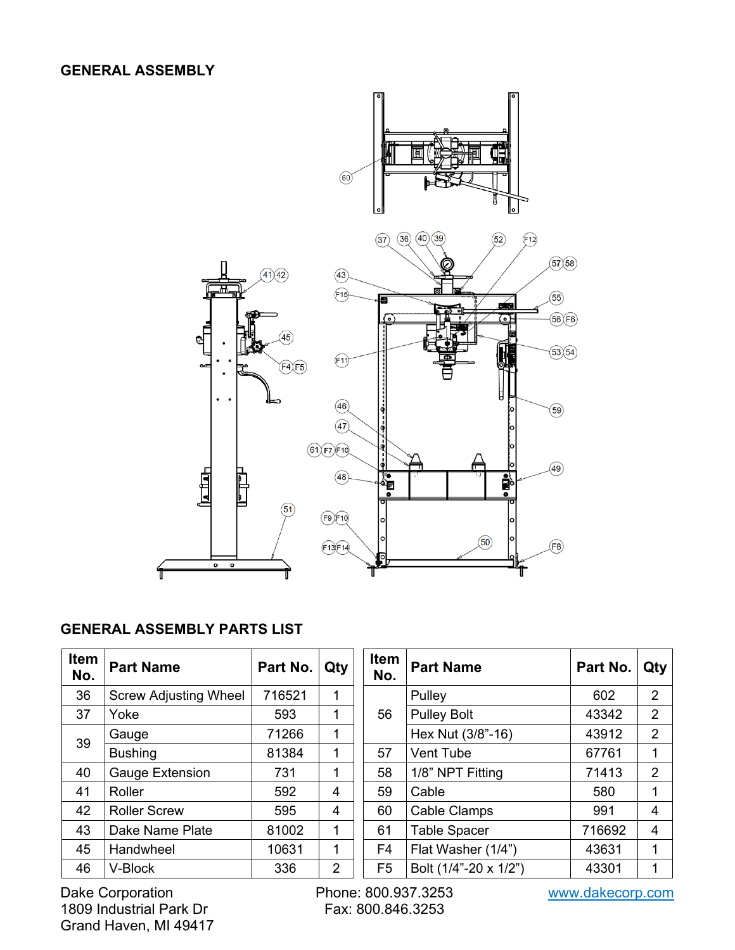#### **GENERAL ASSEMBLY**



# **GENERAL ASSEMBLY PARTS LIST**

| <b>Item</b><br>No. | <b>Part Name</b>             | Part No. | Qty | Item<br>No.    | <b>Part Name</b>      | Part No. | Qty            |
|--------------------|------------------------------|----------|-----|----------------|-----------------------|----------|----------------|
| 36                 | <b>Screw Adjusting Wheel</b> | 716521   | 1   |                | Pulley                | 602      | $\overline{2}$ |
| 37                 | Yoke                         | 593      | 1   | 56             | <b>Pulley Bolt</b>    | 43342    | $\overline{2}$ |
|                    | Gauge                        | 71266    | 1   |                | Hex Nut (3/8"-16)     | 43912    | $\overline{2}$ |
| 39                 | <b>Bushing</b>               | 81384    | 1   | 57             | Vent Tube             | 67761    | 1              |
| 40                 | Gauge Extension              | 731      | 1   | 58             | 1/8" NPT Fitting      | 71413    | 2              |
| 41                 | Roller                       | 592      | 4   | 59             | Cable                 | 580      | 1              |
| 42                 | <b>Roller Screw</b>          | 595      | 4   | 60             | <b>Cable Clamps</b>   | 991      | 4              |
| 43                 | Dake Name Plate              | 81002    | 1   | 61             | <b>Table Spacer</b>   | 716692   | 4              |
| 45                 | Handwheel                    | 10631    | 1   | F4             | Flat Washer (1/4")    | 43631    |                |
| 46                 | V-Block                      | 336      | 2   | F <sub>5</sub> | Bolt (1/4"-20 x 1/2") | 43301    | 1              |

Dake Corporation Phone: 800.937.3253 www.dakecorp.com 1809 Industrial Park Dr Grand Haven, MI 49417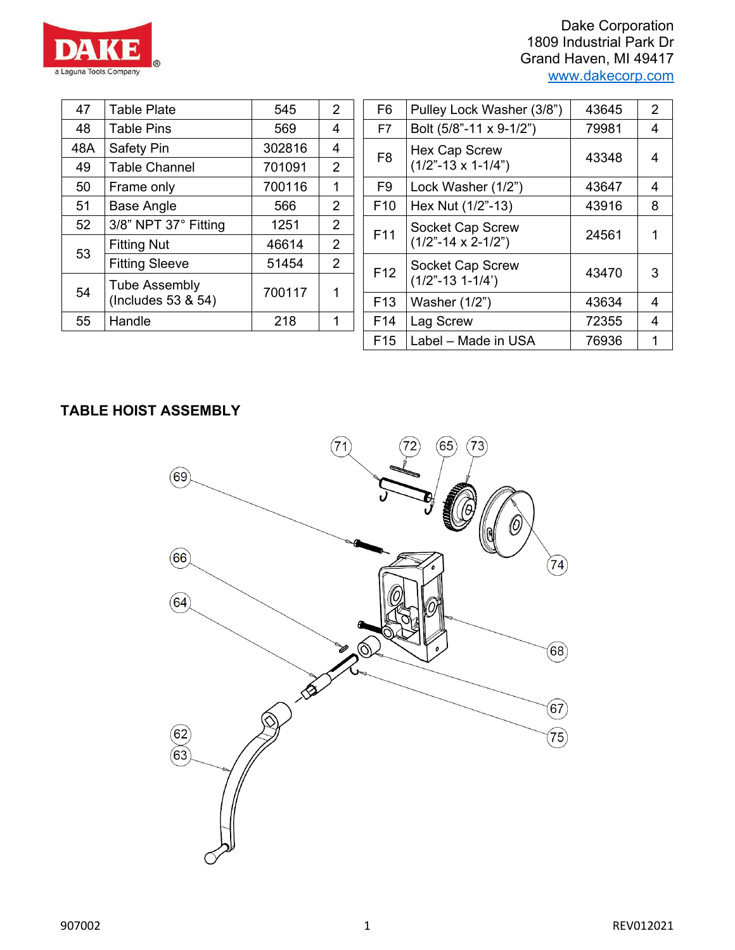

| 47  | <b>Table Plate</b>                         | 545    | 2              |
|-----|--------------------------------------------|--------|----------------|
| 48  | <b>Table Pins</b>                          | 569    | 4              |
| 48A | Safety Pin                                 | 302816 | 4              |
| 49  | <b>Table Channel</b>                       | 701091 | 2              |
| 50  | Frame only                                 | 700116 | 1              |
| 51  | Base Angle                                 | 566    | $\overline{2}$ |
| 52  | 3/8" NPT 37° Fitting                       | 1251   | $\overline{2}$ |
| 53  | <b>Fitting Nut</b>                         | 46614  | 2              |
|     | <b>Fitting Sleeve</b>                      | 51454  | $\overline{2}$ |
| 54  | <b>Tube Assembly</b><br>(Includes 53 & 54) | 700117 | 1              |
| 55  | Handle                                     | 218    | 1              |

| 47            | <b>Table Plate</b>    | 545    | $\overline{2}$ | F <sub>6</sub>  | Pulley Lock Washer (3/8")     | 43645 | 2 |
|---------------|-----------------------|--------|----------------|-----------------|-------------------------------|-------|---|
| 48            | <b>Table Pins</b>     | 569    | 4              | F7              | Bolt (5/8"-11 x 9-1/2")       | 79981 | 4 |
| $\mathsf{BA}$ | Safety Pin            | 302816 | 4              | F <sub>8</sub>  | <b>Hex Cap Screw</b>          | 43348 | 4 |
| 49            | <b>Table Channel</b>  | 701091 | 2              |                 | $(1/2" - 13 \times 1 - 1/4")$ |       |   |
| 50            | Frame only            | 700116 | 1              | F <sub>9</sub>  | Lock Washer (1/2")            | 43647 | 4 |
| 51            | <b>Base Angle</b>     | 566    | $\overline{2}$ | F <sub>10</sub> | Hex Nut (1/2"-13)             | 43916 | 8 |
| 52            | 3/8" NPT 37° Fitting  | 1251   | $\overline{2}$ | F <sub>11</sub> | Socket Cap Screw              | 24561 | 1 |
| 53            | <b>Fitting Nut</b>    | 46614  | 2              |                 | $(1/2" - 14 \times 2 - 1/2")$ |       |   |
|               | <b>Fitting Sleeve</b> | 51454  | $\overline{2}$ | F <sub>12</sub> | Socket Cap Screw              | 43470 | 3 |
| 54            | <b>Tube Assembly</b>  | 700117 | 1              |                 | $(1/2" - 13 1 - 1/4")$        |       |   |
|               | (Includes 53 & 54)    |        |                | F <sub>13</sub> | Washer (1/2")                 | 43634 | 4 |
| 55            | Handle                | 218    | 1              | F <sub>14</sub> | Lag Screw                     | 72355 | 4 |
|               |                       |        |                | F <sub>15</sub> | Label - Made in USA           | 76936 | 1 |
|               |                       |        |                |                 |                               |       |   |

# **TABLE HOIST ASSEMBLY**